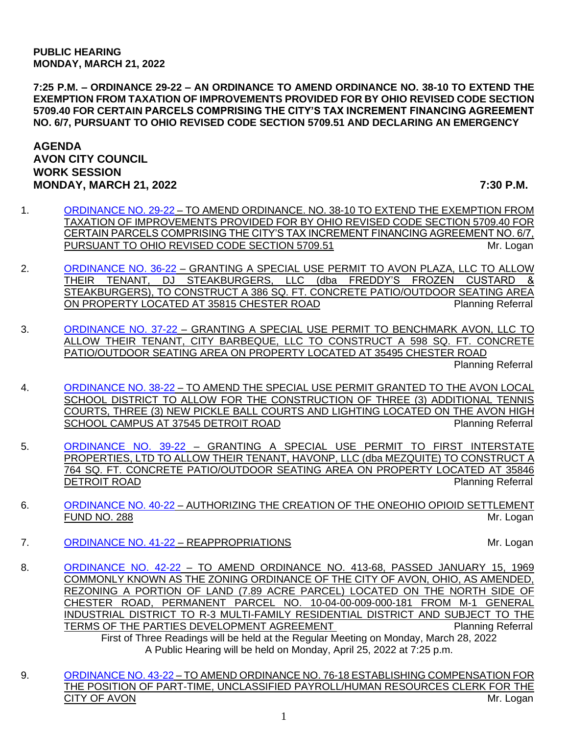**7:25 P.M. – ORDINANCE 29-22 – AN ORDINANCE TO AMEND ORDINANCE NO. 38-10 TO EXTEND THE EXEMPTION FROM TAXATION OF IMPROVEMENTS PROVIDED FOR BY OHIO REVISED CODE SECTION 5709.40 FOR CERTAIN PARCELS COMPRISING THE CITY'S TAX INCREMENT FINANCING AGREEMENT NO. 6/7, PURSUANT TO OHIO REVISED CODE SECTION 5709.51 AND DECLARING AN EMERGENCY**

## **AGENDA AVON CITY COUNCIL WORK SESSION MONDAY, MARCH 21, 2022 7:30 P.M.**

- 1. [ORDINANCE NO. 29-22](https://www.cityofavon.com/DocumentCenter/View/7681/Ordinance-No-29-22-TIF-6-7-extended-3-11-22) TO AMEND ORDINANCE. NO. 38-10 TO EXTEND THE EXEMPTION FROM TAXATION OF IMPROVEMENTS PROVIDED FOR BY OHIO REVISED CODE SECTION 5709.40 FOR CERTAIN PARCELS COMPRISING THE CITY'S TAX INCREMENT FINANCING AGREEMENT NO. 6/7, PURSUANT TO OHIO REVISED CODE SECTION 5709.51 MILLOGAN MILLOGAN
- 2. [ORDINANCE NO. 36-22](https://www.cityofavon.com/DocumentCenter/View/7689/Ordinance-No-36-22---SUP---Avon-Plaza---Freddys-Frozen-Custard) GRANTING A SPECIAL USE PERMIT TO AVON PLAZA, LLC TO ALLOW THEIR TENANT, DJ STEAKBURGERS, LLC (dba FREDDY'S FROZEN CUSTARD & STEAKBURGERS), TO CONSTRUCT A 386 SQ. FT. CONCRETE PATIO/OUTDOOR SEATING AREA ON PROPERTY LOCATED AT 35815 CHESTER ROAD PROPERTY LOCATED AT 35815 CHESTER ROAD
- 3. [ORDINANCE NO. 37-22](https://www.cityofavon.com/DocumentCenter/View/7691/Ordinance-No-37-22---SUP---City-Barbecue) GRANTING A SPECIAL USE PERMIT TO BENCHMARK AVON, LLC TO ALLOW THEIR TENANT, CITY BARBEQUE, LLC TO CONSTRUCT A 598 SQ. FT. CONCRETE PATIO/OUTDOOR SEATING AREA ON PROPERTY LOCATED AT 35495 CHESTER ROAD Planning Referral
- 4. [ORDINANCE NO. 38-22](https://www.cityofavon.com/DocumentCenter/View/7693/Ordinance-No-38-22---Amend-SUP-for--High-Schl-Tennis-Pickle-Ball-Cts---Lighting) TO AMEND THE SPECIAL USE PERMIT GRANTED TO THE AVON LOCAL SCHOOL DISTRICT TO ALLOW FOR THE CONSTRUCTION OF THREE (3) ADDITIONAL TENNIS COURTS, THREE (3) NEW PICKLE BALL COURTS AND LIGHTING LOCATED ON THE AVON HIGH SCHOOL CAMPUS AT 37545 DETROIT ROAD **Properties and Accept and Accept Accept** Planning Referral
- 5. [ORDINANCE NO. 39-22](https://www.cityofavon.com/DocumentCenter/View/7695/Ordinance-No-39-22-SUP---First-Interstate---Havonp-LLC----Mezquite---SUP) GRANTING A SPECIAL USE PERMIT TO FIRST INTERSTATE PROPERTIES, LTD TO ALLOW THEIR TENANT, HAVONP, LLC (dba MEZQUITE) TO CONSTRUCT A 764 SQ. FT. CONCRETE PATIO/OUTDOOR SEATING AREA ON PROPERTY LOCATED AT 35846 DETROIT ROAD **Planning Referral**
- 6. [ORDINANCE NO. 40-22](https://www.cityofavon.com/DocumentCenter/View/7696/Ordinance-No-40-22-OneOhio-Opioid-Settlement-Fund-No-288) AUTHORIZING THE CREATION OF THE ONEOHIO OPIOID SETTLEMENT FUND NO. 288 Mr. Logan
- 7. [ORDINANCE NO. 41-22](https://www.cityofavon.com/DocumentCenter/View/7685/Ordinance-No-41-22---Reappropriations) REAPPROPRIATIONS And the state of the Mr. Logan

- 8. [ORDINANCE NO. 42-22](https://www.cityofavon.com/DocumentCenter/View/7699/Ordinance-No-42-22---Rezoning---Concord-Village---Final) TO AMEND ORDINANCE NO. 413-68, PASSED JANUARY 15, 1969 COMMONLY KNOWN AS THE ZONING ORDINANCE OF THE CITY OF AVON, OHIO, AS AMENDED, REZONING A PORTION OF LAND (7.89 ACRE PARCEL) LOCATED ON THE NORTH SIDE OF CHESTER ROAD, PERMANENT PARCEL NO. 10-04-00-009-000-181 FROM M-1 GENERAL INDUSTRIAL DISTRICT TO R-3 MULTI-FAMILY RESIDENTIAL DISTRICT AND SUBJECT TO THE TERMS OF THE PARTIES DEVELOPMENT AGREEMENT PLANNING Referral First of Three Readings will be held at the Regular Meeting on Monday, March 28, 2022 A Public Hearing will be held on Monday, April 25, 2022 at 7:25 p.m.
- 9. [ORDINANCE](https://www.cityofavon.com/DocumentCenter/View/7700/Ordinance-No-43-22-Amend-PT-Payroll-HR-Clerk--Pay) NO. 43-22 TO AMEND ORDINANCE NO. 76-18 ESTABLISHING COMPENSATION FOR THE POSITION OF PART-TIME, UNCLASSIFIED PAYROLL/HUMAN RESOURCES CLERK FOR THE CITY OF AVON **Mr. Logan**